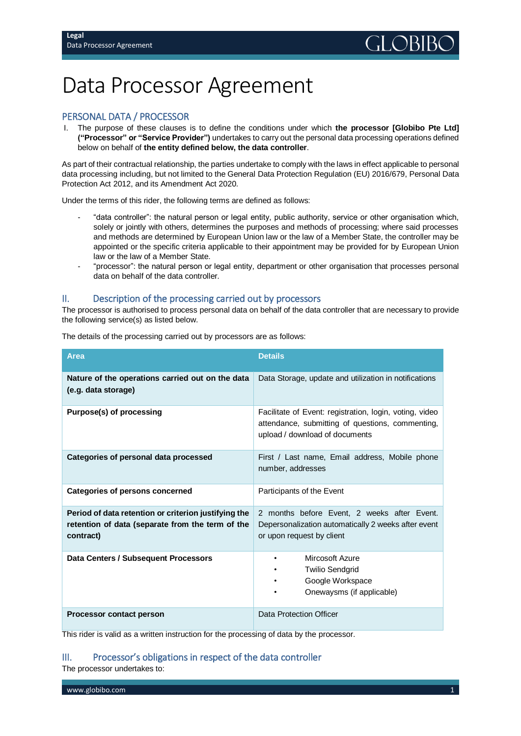# Data Processor Agreement

# PERSONAL DATA / PROCESSOR

I. The purpose of these clauses is to define the conditions under which **the processor [Globibo Pte Ltd] ("Processor" or "Service Provider")** undertakes to carry out the personal data processing operations defined below on behalf of **the entity defined below, the data controller**.

As part of their contractual relationship, the parties undertake to comply with the laws in effect applicable to personal data processing including, but not limited to the General Data Protection Regulation (EU) 2016/679, Personal Data Protection Act 2012, and its Amendment Act 2020.

Under the terms of this rider, the following terms are defined as follows:

- "data controller": the natural person or legal entity, public authority, service or other organisation which, solely or jointly with others, determines the purposes and methods of processing; where said processes and methods are determined by European Union law or the law of a Member State, the controller may be appointed or the specific criteria applicable to their appointment may be provided for by European Union law or the law of a Member State.
- "processor": the natural person or legal entity, department or other organisation that processes personal data on behalf of the data controller.

## II. Description of the processing carried out by processors

The processor is authorised to process personal data on behalf of the data controller that are necessary to provide the following service(s) as listed below.

| <b>Area</b>                                                             | <b>Details</b>                                                                                                                                |
|-------------------------------------------------------------------------|-----------------------------------------------------------------------------------------------------------------------------------------------|
| Nature of the operations carried out on the data<br>(e.g. data storage) | Data Storage, update and utilization in notifications                                                                                         |
| Purpose(s) of processing                                                | Facilitate of Event: registration, login, voting, video<br>attendance, submitting of questions, commenting,<br>upload / download of documents |
| Categories of personal data processed                                   | First / Last name, Email address, Mobile phone<br>number, addresses                                                                           |
| <b>Categories of persons concerned</b>                                  | Participants of the Event                                                                                                                     |
| Period of data retention or criterion justifying the                    | 2 months before Event, 2 weeks after Event.                                                                                                   |
| retention of data (separate from the term of the<br>contract)           | Depersonalization automatically 2 weeks after event<br>or upon request by client                                                              |
| Data Centers / Subsequent Processors                                    | Mircosoft Azure<br><b>Twilio Sendgrid</b><br>Google Workspace                                                                                 |
|                                                                         | Onewaysms (if applicable)                                                                                                                     |
| <b>Processor contact person</b>                                         | Data Protection Officer                                                                                                                       |

The details of the processing carried out by processors are as follows:

This rider is valid as a written instruction for the processing of data by the processor.

# III. Processor's obligations in respect of the data controller

The processor undertakes to: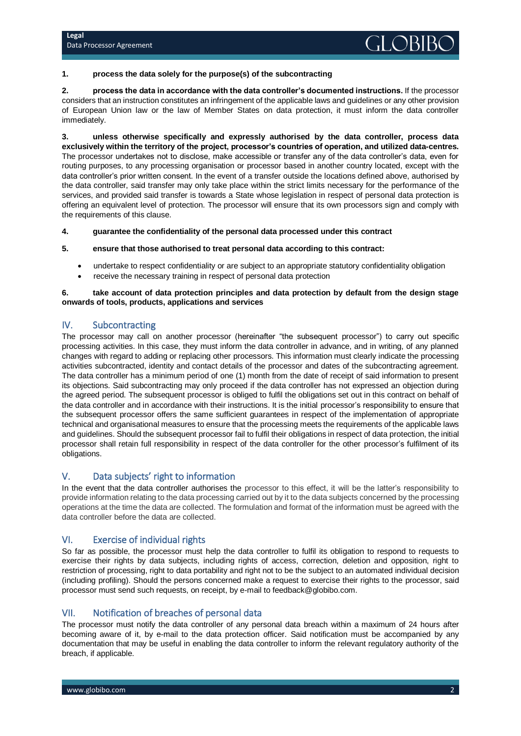#### **1. process the data solely for the purpose(s) of the subcontracting**

**2. process the data in accordance with the data controller's documented instructions.** If the processor considers that an instruction constitutes an infringement of the applicable laws and guidelines or any other provision of European Union law or the law of Member States on data protection, it must inform the data controller immediately.

**3. unless otherwise specifically and expressly authorised by the data controller, process data exclusively within the territory of the project, processor's countries of operation, and utilized data-centres.**  The processor undertakes not to disclose, make accessible or transfer any of the data controller's data, even for routing purposes, to any processing organisation or processor based in another country located, except with the data controller's prior written consent. In the event of a transfer outside the locations defined above, authorised by the data controller, said transfer may only take place within the strict limits necessary for the performance of the services, and provided said transfer is towards a State whose legislation in respect of personal data protection is offering an equivalent level of protection. The processor will ensure that its own processors sign and comply with the requirements of this clause.

#### **4. guarantee the confidentiality of the personal data processed under this contract**

#### **5. ensure that those authorised to treat personal data according to this contract:**

- undertake to respect confidentiality or are subject to an appropriate statutory confidentiality obligation
- receive the necessary training in respect of personal data protection

#### **6. take account of data protection principles and data protection by default from the design stage onwards of tools, products, applications and services**

## IV. Subcontracting

The processor may call on another processor (hereinafter "the subsequent processor") to carry out specific processing activities. In this case, they must inform the data controller in advance, and in writing, of any planned changes with regard to adding or replacing other processors. This information must clearly indicate the processing activities subcontracted, identity and contact details of the processor and dates of the subcontracting agreement. The data controller has a minimum period of one (1) month from the date of receipt of said information to present its objections. Said subcontracting may only proceed if the data controller has not expressed an objection during the agreed period. The subsequent processor is obliged to fulfil the obligations set out in this contract on behalf of the data controller and in accordance with their instructions. It is the initial processor's responsibility to ensure that the subsequent processor offers the same sufficient guarantees in respect of the implementation of appropriate technical and organisational measures to ensure that the processing meets the requirements of the applicable laws and guidelines. Should the subsequent processor fail to fulfil their obligations in respect of data protection, the initial processor shall retain full responsibility in respect of the data controller for the other processor's fulfilment of its obligations.

## V. Data subjects' right to information

In the event that the data controller authorises the processor to this effect, it will be the latter's responsibility to provide information relating to the data processing carried out by it to the data subjects concerned by the processing operations at the time the data are collected. The formulation and format of the information must be agreed with the data controller before the data are collected.

## VI. Exercise of individual rights

So far as possible, the processor must help the data controller to fulfil its obligation to respond to requests to exercise their rights by data subjects, including rights of access, correction, deletion and opposition, right to restriction of processing, right to data portability and right not to be the subject to an automated individual decision (including profiling). Should the persons concerned make a request to exercise their rights to the processor, said processor must send such requests, on receipt, by e-mail to feedback@globibo.com.

#### VII. Notification of breaches of personal data

The processor must notify the data controller of any personal data breach within a maximum of 24 hours after becoming aware of it, by e-mail to the data protection officer. Said notification must be accompanied by any documentation that may be useful in enabling the data controller to inform the relevant regulatory authority of the breach, if applicable.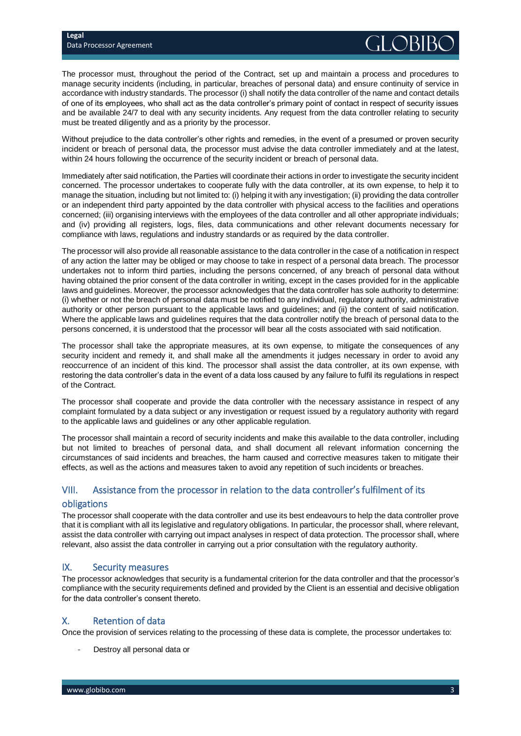The processor must, throughout the period of the Contract, set up and maintain a process and procedures to manage security incidents (including, in particular, breaches of personal data) and ensure continuity of service in accordance with industry standards. The processor (i) shall notify the data controller of the name and contact details of one of its employees, who shall act as the data controller's primary point of contact in respect of security issues and be available 24/7 to deal with any security incidents. Any request from the data controller relating to security must be treated diligently and as a priority by the processor.

Without prejudice to the data controller's other rights and remedies, in the event of a presumed or proven security incident or breach of personal data, the processor must advise the data controller immediately and at the latest, within 24 hours following the occurrence of the security incident or breach of personal data.

Immediately after said notification, the Parties will coordinate their actions in order to investigate the security incident concerned. The processor undertakes to cooperate fully with the data controller, at its own expense, to help it to manage the situation, including but not limited to: (i) helping it with any investigation; (ii) providing the data controller or an independent third party appointed by the data controller with physical access to the facilities and operations concerned; (iii) organising interviews with the employees of the data controller and all other appropriate individuals; and (iv) providing all registers, logs, files, data communications and other relevant documents necessary for compliance with laws, regulations and industry standards or as required by the data controller.

The processor will also provide all reasonable assistance to the data controller in the case of a notification in respect of any action the latter may be obliged or may choose to take in respect of a personal data breach. The processor undertakes not to inform third parties, including the persons concerned, of any breach of personal data without having obtained the prior consent of the data controller in writing, except in the cases provided for in the applicable laws and guidelines. Moreover, the processor acknowledges that the data controller has sole authority to determine: (i) whether or not the breach of personal data must be notified to any individual, regulatory authority, administrative authority or other person pursuant to the applicable laws and guidelines; and (ii) the content of said notification. Where the applicable laws and guidelines requires that the data controller notify the breach of personal data to the persons concerned, it is understood that the processor will bear all the costs associated with said notification.

The processor shall take the appropriate measures, at its own expense, to mitigate the consequences of any security incident and remedy it, and shall make all the amendments it judges necessary in order to avoid any reoccurrence of an incident of this kind. The processor shall assist the data controller, at its own expense, with restoring the data controller's data in the event of a data loss caused by any failure to fulfil its regulations in respect of the Contract.

The processor shall cooperate and provide the data controller with the necessary assistance in respect of any complaint formulated by a data subject or any investigation or request issued by a regulatory authority with regard to the applicable laws and guidelines or any other applicable regulation.

The processor shall maintain a record of security incidents and make this available to the data controller, including but not limited to breaches of personal data, and shall document all relevant information concerning the circumstances of said incidents and breaches, the harm caused and corrective measures taken to mitigate their effects, as well as the actions and measures taken to avoid any repetition of such incidents or breaches.

## VIII. Assistance from the processor in relation to the data controller's fulfilment of its

## obligations

The processor shall cooperate with the data controller and use its best endeavours to help the data controller prove that it is compliant with all its legislative and regulatory obligations. In particular, the processor shall, where relevant, assist the data controller with carrying out impact analyses in respect of data protection. The processor shall, where relevant, also assist the data controller in carrying out a prior consultation with the regulatory authority.

# IX. Security measures

The processor acknowledges that security is a fundamental criterion for the data controller and that the processor's compliance with the security requirements defined and provided by the Client is an essential and decisive obligation for the data controller's consent thereto.

# X. Retention of data

Once the provision of services relating to the processing of these data is complete, the processor undertakes to:

Destroy all personal data or